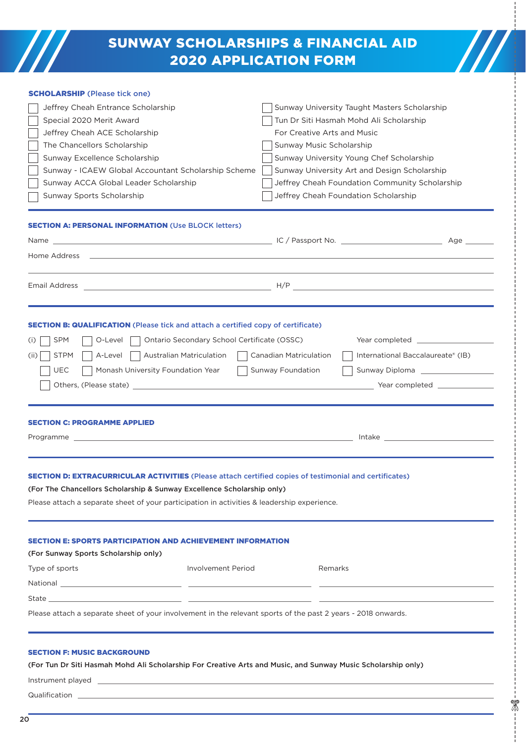# SUNWAY SCHOLARSHIPS & FINANCIAL AID 2020 APPLICATION FORM

 $\mathcal{U}$ 

| <b>SCHOLARSHIP (Please tick one)</b>                                                                                                                                                                                                 |                                                                                                                                                                                                                                |  |  |
|--------------------------------------------------------------------------------------------------------------------------------------------------------------------------------------------------------------------------------------|--------------------------------------------------------------------------------------------------------------------------------------------------------------------------------------------------------------------------------|--|--|
| Jeffrey Cheah Entrance Scholarship                                                                                                                                                                                                   | Sunway University Taught Masters Scholarship                                                                                                                                                                                   |  |  |
| Special 2020 Merit Award                                                                                                                                                                                                             | Tun Dr Siti Hasmah Mohd Ali Scholarship                                                                                                                                                                                        |  |  |
| Jeffrey Cheah ACE Scholarship                                                                                                                                                                                                        | For Creative Arts and Music                                                                                                                                                                                                    |  |  |
| The Chancellors Scholarship                                                                                                                                                                                                          | Sunway Music Scholarship                                                                                                                                                                                                       |  |  |
| Sunway Excellence Scholarship                                                                                                                                                                                                        | Sunway University Young Chef Scholarship                                                                                                                                                                                       |  |  |
| Sunway - ICAEW Global Accountant Scholarship Scheme                                                                                                                                                                                  | Sunway University Art and Design Scholarship                                                                                                                                                                                   |  |  |
| Sunway ACCA Global Leader Scholarship                                                                                                                                                                                                | Jeffrey Cheah Foundation Community Scholarship                                                                                                                                                                                 |  |  |
| Sunway Sports Scholarship                                                                                                                                                                                                            | Jeffrey Cheah Foundation Scholarship                                                                                                                                                                                           |  |  |
| <b>SECTION A: PERSONAL INFORMATION (Use BLOCK letters)</b>                                                                                                                                                                           |                                                                                                                                                                                                                                |  |  |
|                                                                                                                                                                                                                                      |                                                                                                                                                                                                                                |  |  |
| Home Address                                                                                                                                                                                                                         |                                                                                                                                                                                                                                |  |  |
|                                                                                                                                                                                                                                      |                                                                                                                                                                                                                                |  |  |
| Email Address                                                                                                                                                                                                                        |                                                                                                                                                                                                                                |  |  |
|                                                                                                                                                                                                                                      |                                                                                                                                                                                                                                |  |  |
|                                                                                                                                                                                                                                      |                                                                                                                                                                                                                                |  |  |
| <b>SECTION B: QUALIFICATION</b> (Please tick and attach a certified copy of certificate)                                                                                                                                             |                                                                                                                                                                                                                                |  |  |
| <b>SPM</b><br>O-Level<br>Ontario Secondary School Certificate (OSSC)<br>$\left(1\right)$                                                                                                                                             | Year completed _______________                                                                                                                                                                                                 |  |  |
| <b>STPM</b><br>A-Level<br>Australian Matriculation<br>(11)                                                                                                                                                                           | <b>Canadian Matriculation</b><br>International Baccalaureate® (IB)                                                                                                                                                             |  |  |
| <b>UEC</b><br>Monash University Foundation Year                                                                                                                                                                                      | Sunway Foundation                                                                                                                                                                                                              |  |  |
|                                                                                                                                                                                                                                      |                                                                                                                                                                                                                                |  |  |
|                                                                                                                                                                                                                                      |                                                                                                                                                                                                                                |  |  |
|                                                                                                                                                                                                                                      |                                                                                                                                                                                                                                |  |  |
| <b>SECTION C: PROGRAMME APPLIED</b>                                                                                                                                                                                                  |                                                                                                                                                                                                                                |  |  |
|                                                                                                                                                                                                                                      | Intake the contract of the contract of the contract of the contract of the contract of the contract of the contract of the contract of the contract of the contract of the contract of the contract of the contract of the con |  |  |
|                                                                                                                                                                                                                                      |                                                                                                                                                                                                                                |  |  |
|                                                                                                                                                                                                                                      |                                                                                                                                                                                                                                |  |  |
| <b>ECTION D: EXTRACURRICULAR ACTIVITIES</b> (Please attach certified copies of testimonial and certificates)                                                                                                                         |                                                                                                                                                                                                                                |  |  |
| (For The Chancellors Scholarship & Sunway Excellence Scholarship only)                                                                                                                                                               |                                                                                                                                                                                                                                |  |  |
| Please attach a separate sheet of your participation in activities & leadership experience.                                                                                                                                          |                                                                                                                                                                                                                                |  |  |
|                                                                                                                                                                                                                                      |                                                                                                                                                                                                                                |  |  |
| <b>SECTION E: SPORTS PARTICIPATION AND ACHIEVEMENT INFORMATION</b>                                                                                                                                                                   |                                                                                                                                                                                                                                |  |  |
| (For Sunway Sports Scholarship only)                                                                                                                                                                                                 |                                                                                                                                                                                                                                |  |  |
| Type of sports<br><b>Involvement Period</b>                                                                                                                                                                                          | Remarks                                                                                                                                                                                                                        |  |  |
|                                                                                                                                                                                                                                      |                                                                                                                                                                                                                                |  |  |
|                                                                                                                                                                                                                                      |                                                                                                                                                                                                                                |  |  |
|                                                                                                                                                                                                                                      |                                                                                                                                                                                                                                |  |  |
| Please attach a separate sheet of your involvement in the relevant sports of the past 2 years - 2018 onwards.                                                                                                                        |                                                                                                                                                                                                                                |  |  |
|                                                                                                                                                                                                                                      |                                                                                                                                                                                                                                |  |  |
| <b>SECTION F: MUSIC BACKGROUND</b>                                                                                                                                                                                                   |                                                                                                                                                                                                                                |  |  |
| (For Tun Dr Siti Hasmah Mohd Ali Scholarship For Creative Arts and Music, and Sunway Music Scholarship only)                                                                                                                         |                                                                                                                                                                                                                                |  |  |
| Instrument played <b>the contract of the contract of the contract of the contract of the contract of the contract of the contract of the contract of the contract of the contract of the contract of the contract of the contrac</b> |                                                                                                                                                                                                                                |  |  |
|                                                                                                                                                                                                                                      |                                                                                                                                                                                                                                |  |  |

 $\sqrt{2}$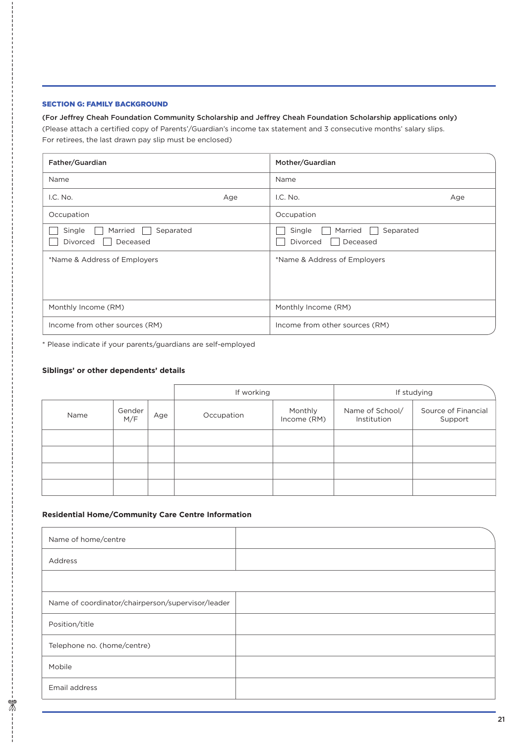## SECTION G: FAMILY BACKGROUND

#### (For Jeffrey Cheah Foundation Community Scholarship and Jeffrey Cheah Foundation Scholarship applications only)

(Please attach a certified copy of Parents'/Guardian's income tax statement and 3 consecutive months' salary slips. For retirees, the last drawn pay slip must be enclosed)

| Father/Guardian                                               |     | Mother/Guardian                                        |     |
|---------------------------------------------------------------|-----|--------------------------------------------------------|-----|
| Name                                                          |     | Name                                                   |     |
| I.C. No.                                                      | Age | I.C. No.                                               | Age |
| Occupation                                                    |     | Occupation                                             |     |
| Married<br>Separated<br>Single<br>Deceased<br><b>Divorced</b> |     | Married<br>Separated<br>Single<br>Deceased<br>Divorced |     |
| *Name & Address of Employers                                  |     | *Name & Address of Employers                           |     |
| Monthly Income (RM)                                           |     | Monthly Income (RM)                                    |     |
| Income from other sources (RM)                                |     | Income from other sources (RM)                         |     |

\* Please indicate if your parents/guardians are self-employed

# **Siblings' or other dependents' details**

|      |               |     | If working |                        | If studying                    |                                |
|------|---------------|-----|------------|------------------------|--------------------------------|--------------------------------|
| Name | Gender<br>M/F | Age | Occupation | Monthly<br>Income (RM) | Name of School/<br>Institution | Source of Financial<br>Support |
|      |               |     |            |                        |                                |                                |
|      |               |     |            |                        |                                |                                |
|      |               |     |            |                        |                                |                                |
|      |               |     |            |                        |                                |                                |

### **Residential Home/Community Care Centre Information**

| Name of home/centre                               |  |
|---------------------------------------------------|--|
| Address                                           |  |
|                                                   |  |
| Name of coordinator/chairperson/supervisor/leader |  |
| Position/title                                    |  |
| Telephone no. (home/centre)                       |  |
| Mobile                                            |  |
| Email address                                     |  |